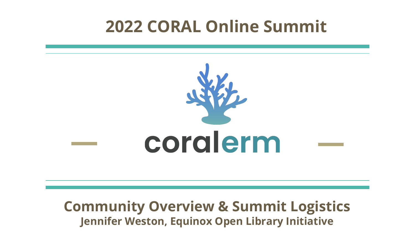# corderm

#### **Community Overview & Summit Logistics Jennifer Weston, Equinox Open Library Initiative**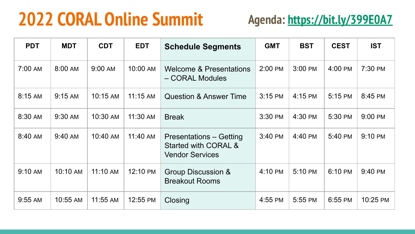#### **2022 CORAL Online Summit Agenda:<https://bit.ly/399E0A7>**

| <b>PDT</b> | <b>MDT</b> | <b>CDT</b> | <b>EDT</b> | <b>Schedule Segments</b>                                                  | <b>GMT</b> | <b>BST</b> | <b>CEST</b> | <b>IST</b> |
|------------|------------|------------|------------|---------------------------------------------------------------------------|------------|------------|-------------|------------|
| 7:00 AM    | 8:00 AM    | 9:00 AM    | 10:00 AM   | <b>Welcome &amp; Presentations</b><br>- CORAL Modules                     | 2:00 PM    | 3:00 PM    | 4:00 PM     | 7:30 PM    |
| 8:15 AM    | 9:15 AM    | 10:15 AM   | 11:15 AM   | <b>Question &amp; Answer Time</b>                                         | 3:15 PM    | 4:15 PM    | 5:15 PM     | 8:45 PM    |
| 8:30 AM    | 9:30 AM    | 10:30 AM   | 11:30 AM   | <b>Break</b>                                                              | 3:30 PM    | 4:30 PM    | 5:30 PM     | 9:00 PM    |
| 8:40 AM    | 9:40 AM    | 10:40 AM   | 11:40 AM   | Presentations – Getting<br>Started with CORAL &<br><b>Vendor Services</b> | 3:40 PM    | 4:40 PM    | 5:40 PM     | 9:10 PM    |
| 9:10 AM    | 10:10 AM   | 11:10 AM   | 12:10 PM   | Group Discussion &<br><b>Breakout Rooms</b>                               | 4:10 PM    | 5:10 PM    | 6:10 PM     | 9:40 PM    |
| 9:55 AM    | 10:55 AM   | 11:55 AM   | 12:55 PM   | Closing                                                                   | 4:55 PM    | 5:55 PM    | 6:55 PM     | 10:25 PM   |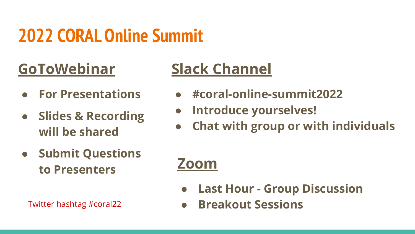#### **GoToWebinar**

- **● For Presentations**
- **● Slides & Recording will be shared**
- **● Submit Questions to Presenters**

#### **Slack Channel**

- **● #coral-online-summit2022**
- **● Introduce yourselves!**
- **● Chat with group or with individuals**

#### **Zoom**

- **● Last Hour Group Discussion**
- Twitter hashtag #coral22 **● Breakout Sessions**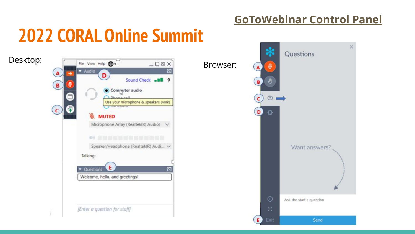#### **GoToWebinar Control Panel**

## **2022 CORAL Online Summit**



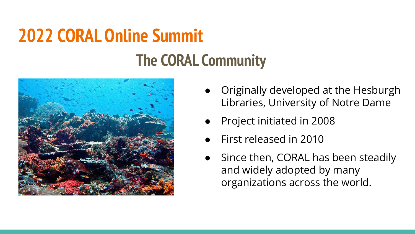## **2022 CORAL Online Summit The CORAL Community**



- Originally developed at the Hesburgh Libraries, University of Notre Dame
- Project initiated in 2008
- First released in 2010
- Since then, CORAL has been steadily and widely adopted by many organizations across the world.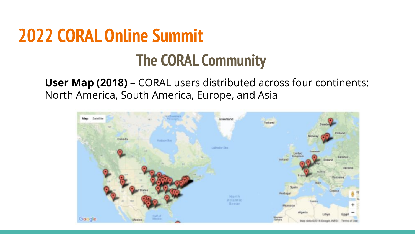## **2022 CORAL Online Summit The CORAL Community**

**User Map (2018) –** CORAL users distributed across four continents: North America, South America, Europe, and Asia

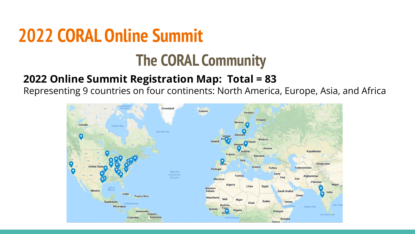#### **The CORAL Community**

#### **2022 Online Summit Registration Map: Total = 83**

Representing 9 countries on four continents: North America, Europe, Asia, and Africa

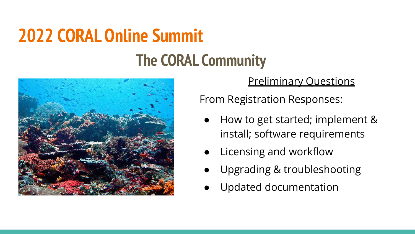#### **The CORAL Community**



Preliminary Questions

From Registration Responses:

- How to get started; implement & install; software requirements
- Licensing and workflow
- Upgrading & troubleshooting
- Updated documentation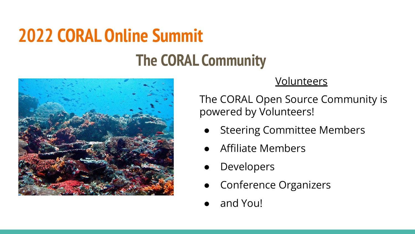#### **The CORAL Community**



#### **Volunteers**

The CORAL Open Source Community is powered by Volunteers!

- **Steering Committee Members**
- Affiliate Members
- Developers
- **Conference Organizers**
- and You!